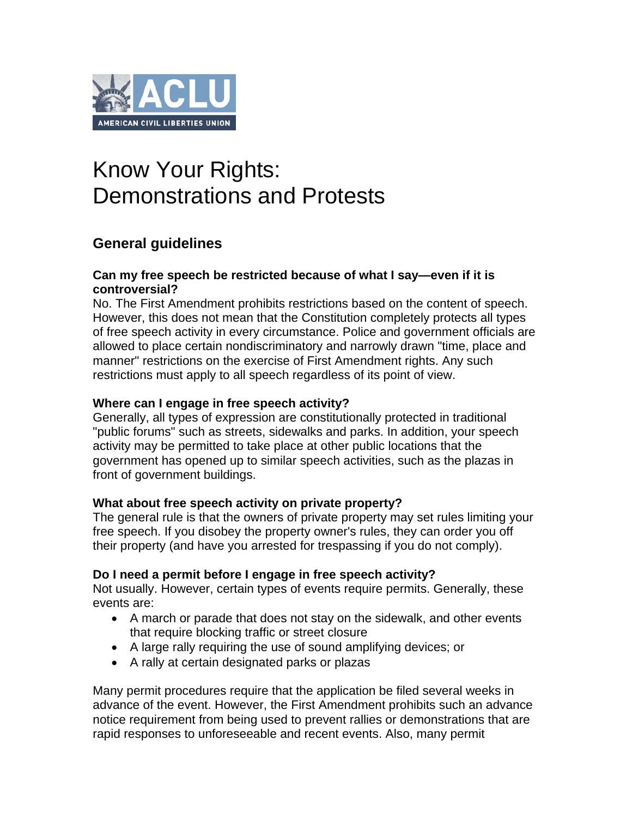

# Know Your Rights: Demonstrations and Protests

# **General guidelines**

#### **Can my free speech be restricted because of what I say—even if it is controversial?**

No. The First Amendment prohibits restrictions based on the content of speech. However, this does not mean that the Constitution completely protects all types of free speech activity in every circumstance. Police and government officials are allowed to place certain nondiscriminatory and narrowly drawn "time, place and manner" restrictions on the exercise of First Amendment rights. Any such restrictions must apply to all speech regardless of its point of view.

# **Where can I engage in free speech activity?**

Generally, all types of expression are constitutionally protected in traditional "public forums" such as streets, sidewalks and parks. In addition, your speech activity may be permitted to take place at other public locations that the government has opened up to similar speech activities, such as the plazas in front of government buildings.

# **What about free speech activity on private property?**

The general rule is that the owners of private property may set rules limiting your free speech. If you disobey the property owner's rules, they can order you off their property (and have you arrested for trespassing if you do not comply).

# **Do I need a permit before I engage in free speech activity?**

Not usually. However, certain types of events require permits. Generally, these events are:

- A march or parade that does not stay on the sidewalk, and other events that require blocking traffic or street closure
- A large rally requiring the use of sound amplifying devices; or
- A rally at certain designated parks or plazas

Many permit procedures require that the application be filed several weeks in advance of the event. However, the First Amendment prohibits such an advance notice requirement from being used to prevent rallies or demonstrations that are rapid responses to unforeseeable and recent events. Also, many permit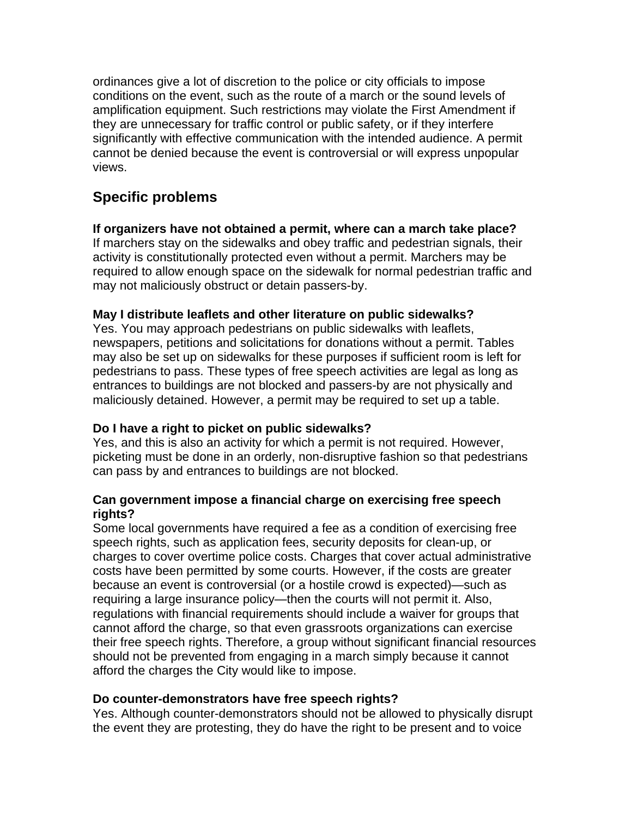ordinances give a lot of discretion to the police or city officials to impose conditions on the event, such as the route of a march or the sound levels of amplification equipment. Such restrictions may violate the First Amendment if they are unnecessary for traffic control or public safety, or if they interfere significantly with effective communication with the intended audience. A permit cannot be denied because the event is controversial or will express unpopular views.

# **Specific problems**

# **If organizers have not obtained a permit, where can a march take place?**

If marchers stay on the sidewalks and obey traffic and pedestrian signals, their activity is constitutionally protected even without a permit. Marchers may be required to allow enough space on the sidewalk for normal pedestrian traffic and may not maliciously obstruct or detain passers-by.

# **May I distribute leaflets and other literature on public sidewalks?**

Yes. You may approach pedestrians on public sidewalks with leaflets, newspapers, petitions and solicitations for donations without a permit. Tables may also be set up on sidewalks for these purposes if sufficient room is left for pedestrians to pass. These types of free speech activities are legal as long as entrances to buildings are not blocked and passers-by are not physically and maliciously detained. However, a permit may be required to set up a table.

# **Do I have a right to picket on public sidewalks?**

Yes, and this is also an activity for which a permit is not required. However, picketing must be done in an orderly, non-disruptive fashion so that pedestrians can pass by and entrances to buildings are not blocked.

# **Can government impose a financial charge on exercising free speech rights?**

Some local governments have required a fee as a condition of exercising free speech rights, such as application fees, security deposits for clean-up, or charges to cover overtime police costs. Charges that cover actual administrative costs have been permitted by some courts. However, if the costs are greater because an event is controversial (or a hostile crowd is expected)—such as requiring a large insurance policy—then the courts will not permit it. Also, regulations with financial requirements should include a waiver for groups that cannot afford the charge, so that even grassroots organizations can exercise their free speech rights. Therefore, a group without significant financial resources should not be prevented from engaging in a march simply because it cannot afford the charges the City would like to impose.

# **Do counter-demonstrators have free speech rights?**

Yes. Although counter-demonstrators should not be allowed to physically disrupt the event they are protesting, they do have the right to be present and to voice